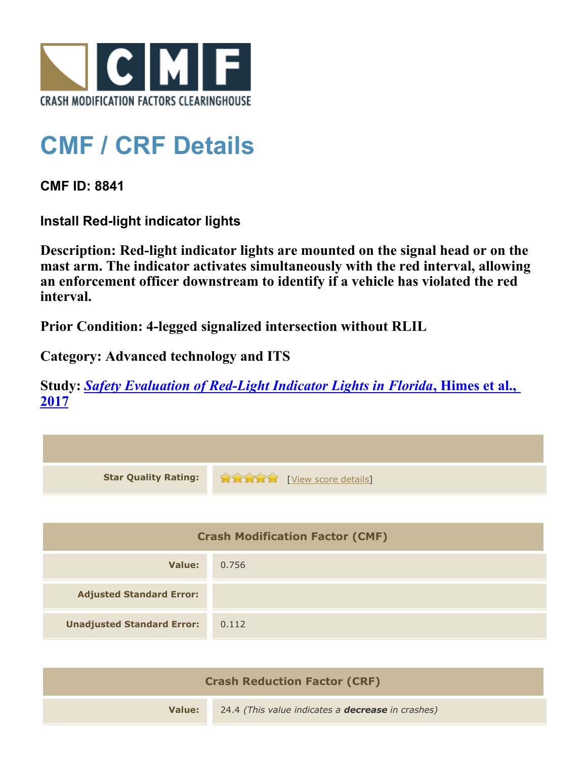

## **CMF / CRF Details**

**CMF ID: 8841**

**Install Red-light indicator lights**

**Description: Red-light indicator lights are mounted on the signal head or on the mast arm. The indicator activates simultaneously with the red interval, allowing an enforcement officer downstream to identify if a vehicle has violated the red interval.**

**Prior Condition: 4-legged signalized intersection without RLIL**

**Category: Advanced technology and ITS**

**Study:** *[Safety Evaluation of Red-Light Indicator Lights in Florida](http://www.cmfclearinghouse.org/study_detail.cfm?stid=483)***[, Himes et al.,](http://www.cmfclearinghouse.org/study_detail.cfm?stid=483) [2017](http://www.cmfclearinghouse.org/study_detail.cfm?stid=483)**

| <b>Star Quality Rating:</b>            | <b>THE EXAMPLE THE EXAMPLE TO EXAMPLE THE EXAMPLE THE EXAMPLE THE EXAMPLE THE EXAMPLE THE EXAMPLE THE EXAMPLE THE EXAMPLE THE EXAMPLE THE EXAMPLE THE EXAMPLE THE EXAMPLE THE EXAMPLE THE EXAMPLE THE EXAMPLE THE EXAMPLE THE EX</b> |  |
|----------------------------------------|--------------------------------------------------------------------------------------------------------------------------------------------------------------------------------------------------------------------------------------|--|
|                                        |                                                                                                                                                                                                                                      |  |
| <b>Crash Modification Factor (CMF)</b> |                                                                                                                                                                                                                                      |  |
| <b>Value:</b>                          | 0.756                                                                                                                                                                                                                                |  |
| <b>Adjusted Standard Error:</b>        |                                                                                                                                                                                                                                      |  |
| <b>Unadjusted Standard Error:</b>      | 0.112                                                                                                                                                                                                                                |  |
|                                        |                                                                                                                                                                                                                                      |  |

| <b>Crash Reduction Factor (CRF)</b> |                                                          |  |
|-------------------------------------|----------------------------------------------------------|--|
| Value:                              | 24.4 (This value indicates a <b>decrease</b> in crashes) |  |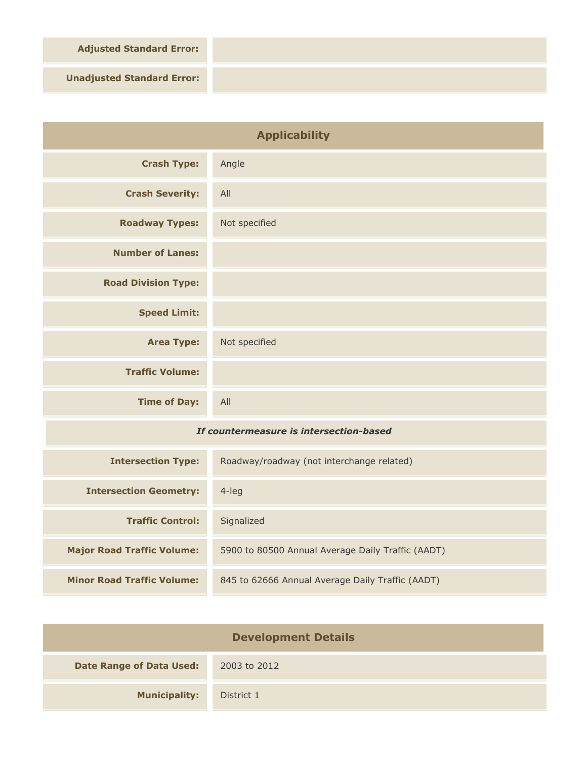**Adjusted Standard Error:**

**Unadjusted Standard Error:**

| <b>Applicability</b>                    |                                                   |
|-----------------------------------------|---------------------------------------------------|
| <b>Crash Type:</b>                      | Angle                                             |
| <b>Crash Severity:</b>                  | All                                               |
| <b>Roadway Types:</b>                   | Not specified                                     |
| <b>Number of Lanes:</b>                 |                                                   |
| <b>Road Division Type:</b>              |                                                   |
| <b>Speed Limit:</b>                     |                                                   |
| <b>Area Type:</b>                       | Not specified                                     |
| <b>Traffic Volume:</b>                  |                                                   |
| <b>Time of Day:</b>                     | All                                               |
| If countermeasure is intersection-based |                                                   |
| <b>Intersection Type:</b>               | Roadway/roadway (not interchange related)         |
| <b>Intersection Geometry:</b>           | $4$ -leg                                          |
| <b>Traffic Control:</b>                 | Signalized                                        |
| <b>Major Road Traffic Volume:</b>       | 5900 to 80500 Annual Average Daily Traffic (AADT) |

| <b>Development Details</b>      |              |  |
|---------------------------------|--------------|--|
| <b>Date Range of Data Used:</b> | 2003 to 2012 |  |
| <b>Municipality:</b>            | District 1   |  |

**Minor Road Traffic Volume:** 845 to 62666 Annual Average Daily Traffic (AADT)